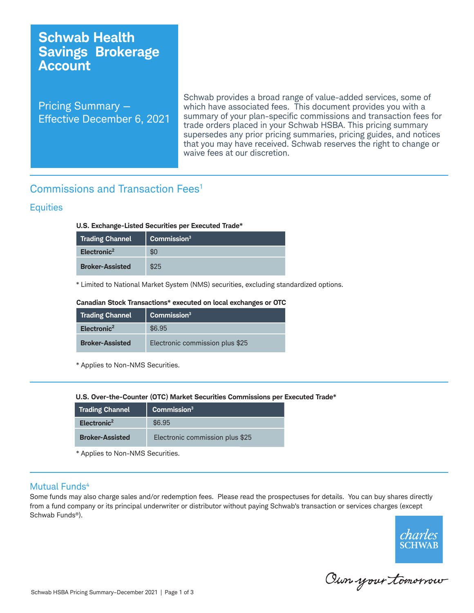# **Schwab Health Savings Brokerage Account**

Pricing Summary — Effective December 6, 2021

Schwab provides a broad range of value-added services, some of which have associated fees. This document provides you with a summary of your plan-specific commissions and transaction fees for trade orders placed in your Schwab HSBA. This pricing summary supersedes any prior pricing summaries, pricing guides, and notices that you may have received. Schwab reserves the right to change or waive fees at our discretion.

# Commissions and Transaction Fees1

## **Equities**

## **U.S. Exchange-Listed Securities per Executed Trade\***

| <b>Trading Channel</b>  | Commission <sup>3</sup> |
|-------------------------|-------------------------|
| Electronic <sup>2</sup> |                         |
| <b>Broker-Assisted</b>  | \$25                    |

\* Limited to National Market System (NMS) securities, excluding standardized options.

### **Canadian Stock Transactions\* executed on local exchanges or OTC**

| Trading Channel         | Commission <sup>3</sup>         |
|-------------------------|---------------------------------|
| Electronic <sup>2</sup> | \$6.95                          |
| <b>Broker-Assisted</b>  | Electronic commission plus \$25 |

\* Applies to Non-NMS Securities.

**U.S. Over-the-Counter (OTC)** 

| <b>Trading Channel</b>  | Commission <sup>3</sup>         |
|-------------------------|---------------------------------|
| Electronic <sup>2</sup> | \$6.95                          |
| <b>Broker-Assisted</b>  | Electronic commission plus \$25 |

\* Applies to Non-NMS Securities.

## Mutual Funds<sup>4</sup>

Some funds may also charge sales and/or redemption fees. Please read the prospectuses for details. You can buy shares directly from a fund company or its principal underwriter or distributor without paying Schwab's transaction or services charges (except Schwab Funds®).



Oun your tomorrow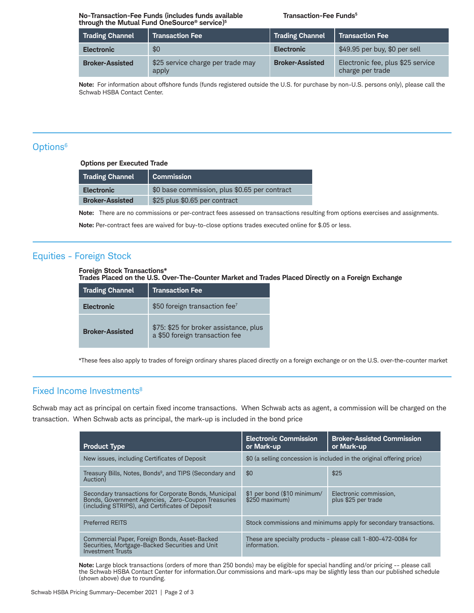### **No-Transaction-Fee Funds (includes funds available Transaction-Fee Funds<sup>5</sup> through the Mutual Fund OneSource® service)5**

| <b>Trading Channel</b> | <b>Transaction Fee</b>                     | <b>Trading Channel</b> | <b>Transaction Fee</b>                                |
|------------------------|--------------------------------------------|------------------------|-------------------------------------------------------|
| <b>Electronic</b>      | \$0                                        | <b>Electronic</b>      | \$49.95 per buy, \$0 per sell                         |
| <b>Broker-Assisted</b> | \$25 service charge per trade may<br>apply | <b>Broker-Assisted</b> | Electronic fee, plus \$25 service<br>charge per trade |

**Note:** For information about offshore funds (funds registered outside the U.S. for purchase by non-U.S. persons only), please call the Schwab HSBA Contact Center.

## Options<sup>6</sup>

**Options per Executed Trade** 

| <b>Trading Channel</b> | Commission                                    |
|------------------------|-----------------------------------------------|
| <b>Electronic</b>      | \$0 base commission, plus \$0.65 per contract |
| <b>Broker-Assisted</b> | \$25 plus \$0.65 per contract                 |

**Note:** There are no commissions or per-contract fees assessed on transactions resulting from options exercises and assignments.

**Note:** Per-contract fees are waived for buy-to-close options trades executed online for \$.05 or less.

# Equities - Foreign Stock

### **Foreign Stock Transactions\***

**Trades Placed on the U.S. Over-The-Counter Market and Trades Placed Directly on a Foreign Exchange**

| <b>Trading Channel</b> | <b>Transaction Fee</b>                                                   |
|------------------------|--------------------------------------------------------------------------|
| <b>Electronic</b>      | \$50 foreign transaction fee <sup>7</sup>                                |
| <b>Broker-Assisted</b> | \$75: \$25 for broker assistance, plus<br>a \$50 foreign transaction fee |

\*These fees also apply to trades of foreign ordinary shares placed directly on a foreign exchange or on the U.S. over-the-counter market

## Fixed Income Investments<sup>8</sup>

Schwab may act as principal on certain fixed income transactions. When Schwab acts as agent, a commission will be charged on the transaction. When Schwab acts as principal, the mark-up is included in the bond price

| <b>Product Type</b>                                                                                                                                            | <b>Electronic Commission</b><br>or Mark-up                                    | <b>Broker-Assisted Commission</b><br>or Mark-up |
|----------------------------------------------------------------------------------------------------------------------------------------------------------------|-------------------------------------------------------------------------------|-------------------------------------------------|
| New issues, including Certificates of Deposit                                                                                                                  | \$0 (a selling concession is included in the original offering price)         |                                                 |
| Treasury Bills, Notes, Bonds <sup>9</sup> , and TIPS (Secondary and<br>Auction)                                                                                | \$0                                                                           | \$25                                            |
| Secondary transactions for Corporate Bonds, Municipal<br>Bonds, Government Agencies, Zero-Coupon Treasuries<br>(including STRIPS), and Certificates of Deposit | \$1 per bond (\$10 minimum/<br>$$250$ maximum)                                | Electronic commission,<br>plus \$25 per trade   |
| <b>Preferred REITS</b>                                                                                                                                         | Stock commissions and minimums apply for secondary transactions.              |                                                 |
| Commercial Paper, Foreign Bonds, Asset-Backed<br>Securities, Mortgage-Backed Securities and Unit<br><b>Investment Trusts</b>                                   | These are specialty products - please call 1-800-472-0084 for<br>information. |                                                 |

**Note:** Large block transactions (orders of more than 250 bonds) may be eligible for special handling and/or pricing -- please call the Schwab HSBA Contact Center for information.Our commissions and mark-ups may be slightly less than our published schedule (shown above) due to rounding.